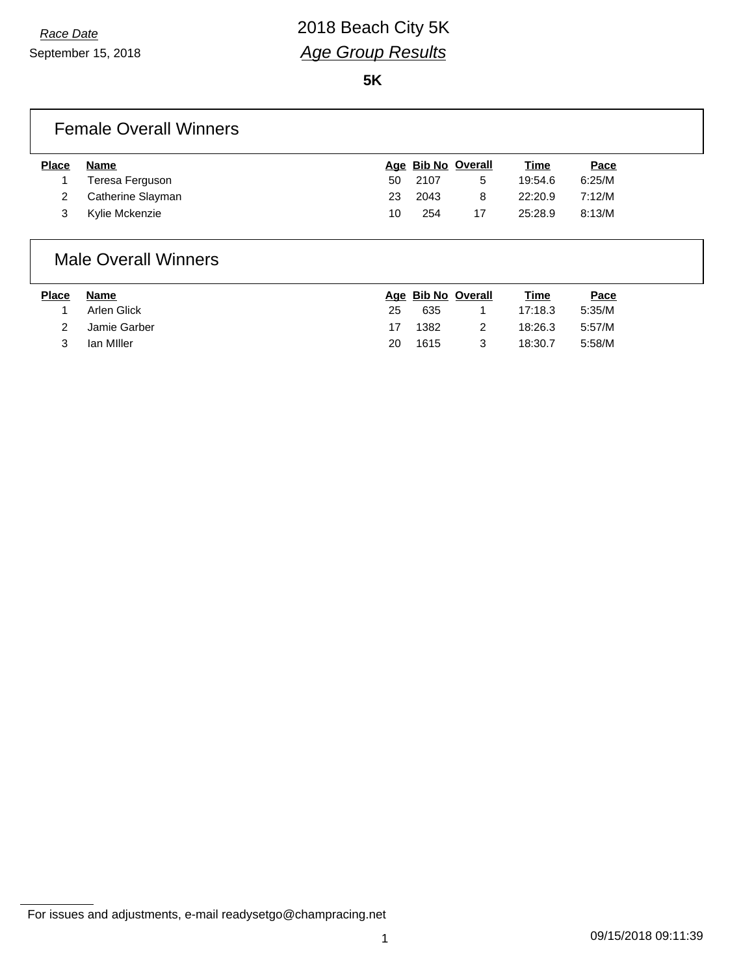# *Race Date* 2018 Beach City 5K *Age Group Results*

**5K**

### Female Overall Winners

| <b>Name</b>       |     |      |    | <u>Time</u>        | <u>Pace</u> |
|-------------------|-----|------|----|--------------------|-------------|
| Teresa Ferguson   | 50  | 2107 | 5  | 19:54.6            | 6:25/M      |
| Catherine Slayman | 23. | 2043 | 8  | 22:20.9            | 7:12/M      |
| Kylie Mckenzie    | 10  | 254  | 17 | 25:28.9            | 8:13/M      |
|                   |     |      |    | Age Bib No Overall |             |

### Male Overall Winners

| <b>Place</b> | Name         |    | Age Bib No Overall |   | <u>Time</u> | <u>Pace</u> |
|--------------|--------------|----|--------------------|---|-------------|-------------|
|              | Arlen Glick  | 25 | 635                |   | 17:18.3     | 5:35/M      |
|              | Jamie Garber | 17 | 1382               | 2 | 18:26.3     | 5:57/M      |
|              | lan Miller   | 20 | 1615               | 3 | 18:30.7     | 5:58/M      |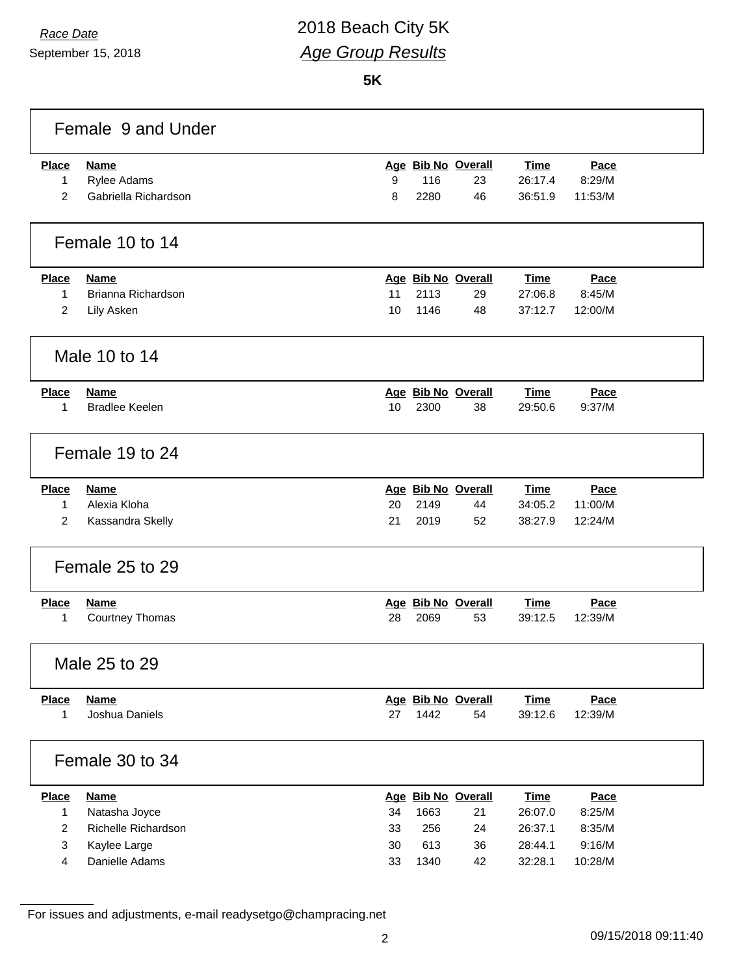September 15, 2018

# *Race Date* 2018 Beach City 5K *Age Group Results*

**5K**

|                | Female 9 and Under    |    |      |                    |             |         |  |
|----------------|-----------------------|----|------|--------------------|-------------|---------|--|
| <b>Place</b>   | <b>Name</b>           |    |      | Age Bib No Overall | <b>Time</b> | Pace    |  |
| 1              | Rylee Adams           | 9  | 116  | 23                 | 26:17.4     | 8:29/M  |  |
| $\overline{2}$ | Gabriella Richardson  | 8  | 2280 | 46                 | 36:51.9     | 11:53/M |  |
|                | Female 10 to 14       |    |      |                    |             |         |  |
| <b>Place</b>   | <b>Name</b>           |    |      | Age Bib No Overall | <b>Time</b> | Pace    |  |
| $\mathbf{1}$   | Brianna Richardson    | 11 | 2113 | 29                 | 27:06.8     | 8:45/M  |  |
| 2              | Lily Asken            | 10 | 1146 | 48                 | 37:12.7     | 12:00/M |  |
|                | Male 10 to 14         |    |      |                    |             |         |  |
| <b>Place</b>   | <b>Name</b>           |    |      | Age Bib No Overall | <b>Time</b> | Pace    |  |
| 1              | <b>Bradlee Keelen</b> | 10 | 2300 | 38                 | 29:50.6     | 9:37/M  |  |
|                | Female 19 to 24       |    |      |                    |             |         |  |
| <b>Place</b>   | <b>Name</b>           |    |      | Age Bib No Overall | Time        | Pace    |  |
| 1              | Alexia Kloha          | 20 | 2149 | 44                 | 34:05.2     | 11:00/M |  |
| 2              | Kassandra Skelly      | 21 | 2019 | 52                 | 38:27.9     | 12:24/M |  |
|                | Female 25 to 29       |    |      |                    |             |         |  |
| <b>Place</b>   | <b>Name</b>           |    |      | Age Bib No Overall | <b>Time</b> | Pace    |  |
| 1              | Courtney Thomas       | 28 | 2069 | 53                 | 39:12.5     | 12:39/M |  |
|                | Male 25 to 29         |    |      |                    |             |         |  |
| <b>Place</b>   | <b>Name</b>           |    |      | Age Bib No Overall | <b>Time</b> | Pace    |  |
| $\mathbf{1}$   | Joshua Daniels        | 27 | 1442 | 54                 | 39:12.6     | 12:39/M |  |
|                | Female 30 to 34       |    |      |                    |             |         |  |
| <b>Place</b>   | <b>Name</b>           |    |      | Age Bib No Overall | <b>Time</b> | Pace    |  |
| $\mathbf{1}$   | Natasha Joyce         | 34 | 1663 | 21                 | 26:07.0     | 8:25/M  |  |
| $\overline{2}$ | Richelle Richardson   | 33 | 256  | 24                 | 26:37.1     | 8:35/M  |  |
| $\mathbf{3}$   | Kaylee Large          | 30 | 613  | 36                 | 28:44.1     | 9:16/M  |  |
| 4              | Danielle Adams        | 33 | 1340 | 42                 | 32:28.1     | 10:28/M |  |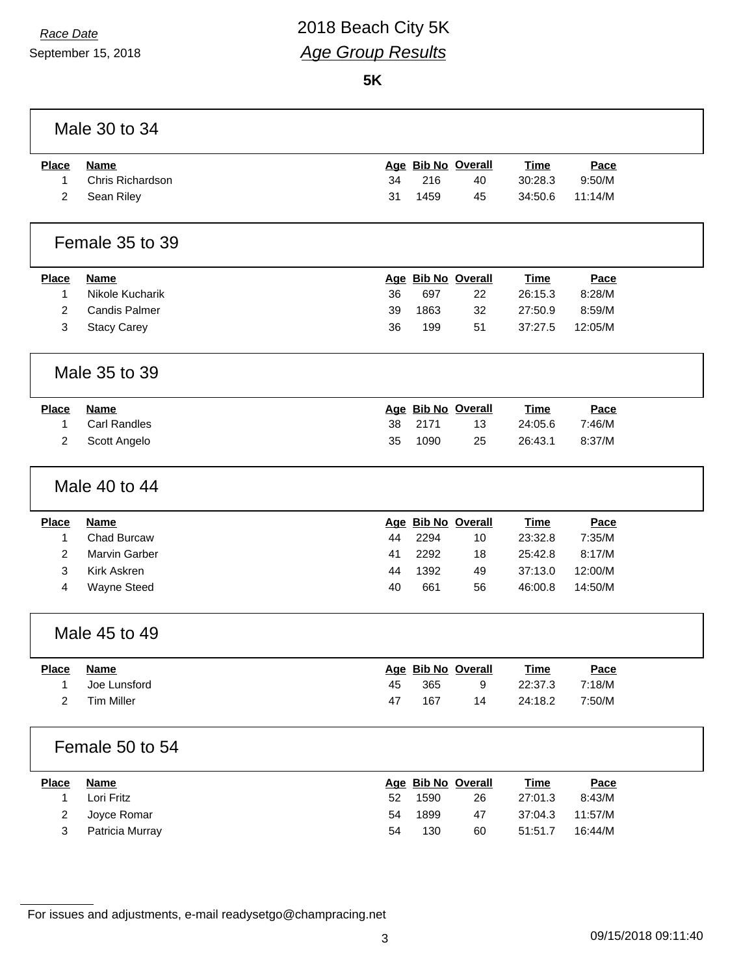September 15, 2018

# *Race Date* 2018 Beach City 5K *Age Group Results*

**5K**

|                | Male 30 to 34        |    |      |                    |             |         |
|----------------|----------------------|----|------|--------------------|-------------|---------|
| <b>Place</b>   | <b>Name</b>          |    |      | Age Bib No Overall | <b>Time</b> | Pace    |
| 1              | Chris Richardson     | 34 | 216  | 40                 | 30:28.3     | 9:50/M  |
| 2              | Sean Riley           | 31 | 1459 | 45                 | 34:50.6     | 11:14/M |
|                | Female 35 to 39      |    |      |                    |             |         |
| <b>Place</b>   | <b>Name</b>          |    |      | Age Bib No Overall | <b>Time</b> | Pace    |
| $\mathbf{1}$   | Nikole Kucharik      | 36 | 697  | 22                 | 26:15.3     | 8:28/M  |
| 2              | <b>Candis Palmer</b> | 39 | 1863 | 32                 | 27:50.9     | 8:59/M  |
| 3              | <b>Stacy Carey</b>   | 36 | 199  | 51                 | 37:27.5     | 12:05/M |
|                | Male 35 to 39        |    |      |                    |             |         |
| <b>Place</b>   | <b>Name</b>          |    |      | Age Bib No Overall | <b>Time</b> | Pace    |
| 1              | <b>Carl Randles</b>  | 38 | 2171 | 13                 | 24:05.6     | 7:46/M  |
| 2              | Scott Angelo         | 35 | 1090 | 25                 | 26:43.1     | 8:37/M  |
|                | Male 40 to 44        |    |      |                    |             |         |
| <b>Place</b>   | <b>Name</b>          |    |      | Age Bib No Overall | <b>Time</b> | Pace    |
| 1              | Chad Burcaw          | 44 | 2294 | 10                 | 23:32.8     | 7:35/M  |
| 2              | <b>Marvin Garber</b> | 41 | 2292 | 18                 | 25:42.8     | 8:17/M  |
| 3              | <b>Kirk Askren</b>   | 44 | 1392 | 49                 | 37:13.0     | 12:00/M |
| 4              | Wayne Steed          | 40 | 661  | 56                 | 46:00.8     | 14:50/M |
|                | Male 45 to 49        |    |      |                    |             |         |
| <b>Place</b>   | <b>Name</b>          |    |      | Age Bib No Overall | <b>Time</b> | Pace    |
| 1              | Joe Lunsford         | 45 | 365  | 9                  | 22:37.3     | 7:18/M  |
| 2              | <b>Tim Miller</b>    | 47 | 167  | 14                 | 24:18.2     | 7:50/M  |
|                | Female 50 to 54      |    |      |                    |             |         |
| <b>Place</b>   | <b>Name</b>          |    |      | Age Bib No Overall | <b>Time</b> | Pace    |
| 1              | Lori Fritz           | 52 | 1590 | 26                 | 27:01.3     | 8:43/M  |
| $\overline{c}$ | Joyce Romar          | 54 | 1899 | 47                 | 37:04.3     | 11:57/M |
| 3              | Patricia Murray      | 54 | 130  | 60                 | 51:51.7     | 16:44/M |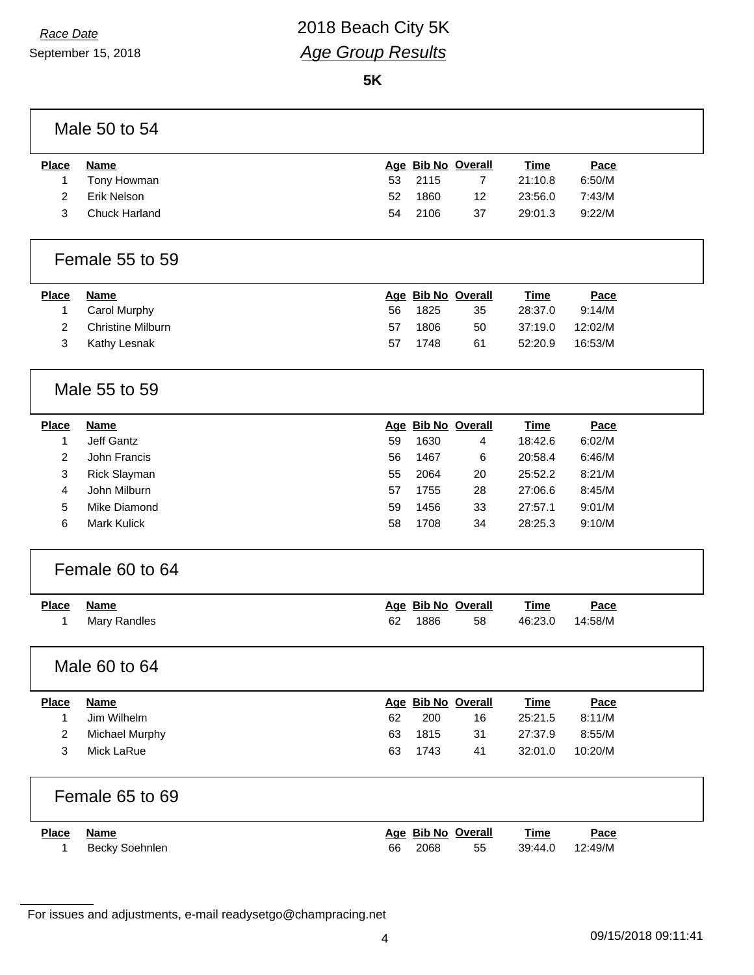# *Race Date* 2018 Beach City 5K *Age Group Results*

**5K**

| Male 50 to 54 |  |  |
|---------------|--|--|
|               |  |  |

| Place | Name          |    |         | Age Bib No Overall | Time    | Pace   |
|-------|---------------|----|---------|--------------------|---------|--------|
|       | Tony Howman   |    | 53 2115 |                    | 21:10.8 | 6:50/M |
|       | Erik Nelson   | 52 | 1860    | -12                | 23:56.0 | 7:43/M |
|       | Chuck Harland | 54 | 2106    | -37                | 29:01.3 | 9:22/M |

#### Female 55 to 59

| Place | Name                |     |      | Age Bib No Overall | Time    | <u>Pace</u> |
|-------|---------------------|-----|------|--------------------|---------|-------------|
|       | Carol Murphy        | 56. | 1825 | 35                 | 28:37.0 | 9:14/M      |
|       | 2 Christine Milburn | 57  | 1806 | 50                 | 37:19.0 | 12:02/M     |
| 3     | Kathy Lesnak        | 57  | 1748 | 61                 | 52:20.9 | 16:53/M     |

## Male 55 to 59

| <b>Place</b> | Name                |    | Age Bib No Overall |    | Time    | Pace   |
|--------------|---------------------|----|--------------------|----|---------|--------|
|              | Jeff Gantz          | 59 | 1630               | 4  | 18:42.6 | 6:02/M |
| 2            | John Francis        | 56 | 1467               | 6  | 20:58.4 | 6:46/M |
| 3            | <b>Rick Slayman</b> | 55 | 2064               | 20 | 25:52.2 | 8:21/M |
| 4            | John Milburn        | 57 | 1755               | 28 | 27:06.6 | 8:45/M |
| 5            | Mike Diamond        | 59 | 1456               | 33 | 27:57.1 | 9:01/M |
| 6            | Mark Kulick         | 58 | 1708               | 34 | 28:25.3 | 9:10/M |

### Female 60 to 64

| <u>Place</u> | Name         |    | Age Bib No Overall |    | <b>Time</b> | <u>Pace</u> |
|--------------|--------------|----|--------------------|----|-------------|-------------|
|              | Mary Randles | 62 | 1886               | 58 | 46:23.0     | 14:58/M     |

### Male 60 to 64

| Name           |                 |      |    | <b>Time</b>        | Pace    |
|----------------|-----------------|------|----|--------------------|---------|
| Jim Wilhelm    | 62              | 200  | 16 | 25:21.5            | 8:11/M  |
| Michael Murphy | 63              | 1815 | 31 | 27:37.9            | 8:55/M  |
| Mick LaRue     | 63              | 1743 | 41 | 32:01.0            | 10:20/M |
|                |                 |      |    |                    |         |
|                |                 |      |    |                    |         |
|                | Female 65 to 69 |      |    | Age Bib No Overall |         |

| Place | Name           |    | Age Bib No Overall |    | <u>Time</u> | Pace    |  |
|-------|----------------|----|--------------------|----|-------------|---------|--|
|       | Becky Soehnlen | 66 | 2068               | 55 | 39:44.0     | 12:49/M |  |